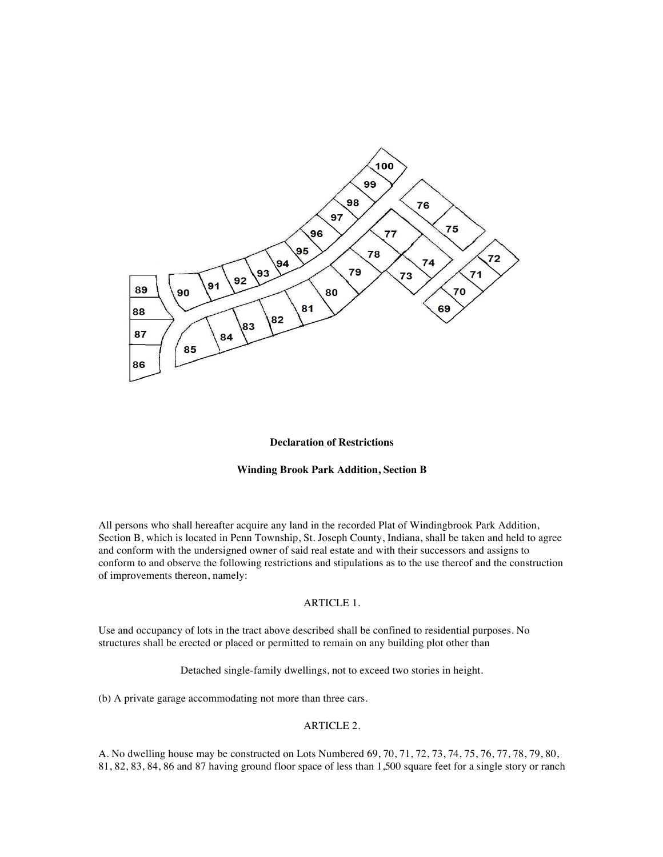

#### **Declaration of Restrictions**

### **Winding Brook Park Addition, Section B**

All persons who shall hereafter acquire any land in the recorded Plat of Windingbrook Park Addition, Section B, which is located in Penn Township, St. Joseph County, Indiana, shall be taken and held to agree and conform with the undersigned owner of said real estate and with their successors and assigns to conform to and observe the following restrictions and stipulations as to the use thereof and the construction of improvements thereon, namely:

### ARTICLE 1.

Use and occupancy of lots in the tract above described shall be confined to residential purposes. No structures shall be erected or placed or permitted to remain on any building plot other than

Detached single-family dwellings, not to exceed two stories in height.

(b) A private garage accommodating not more than three cars.

# ARTICLE 2.

A. No dwelling house may be constructed on Lots Numbered 69, 70, 71, 72, 73, 74, 75, 76, 77, 78, 79, 80, 81, 82, 83, 84, 86 and 87 having ground floor space of less than 1,500 square feet for a single story or ranch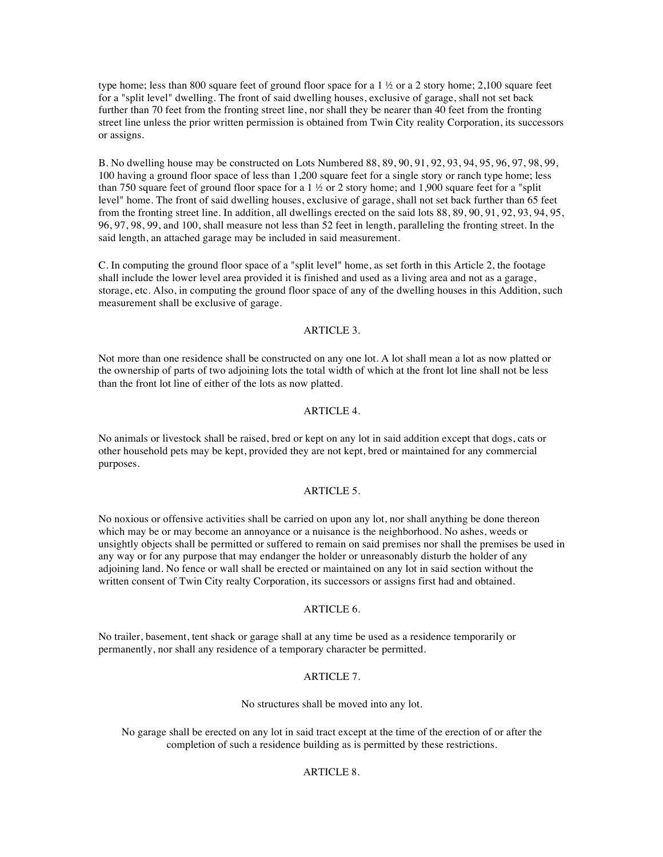type home; less than 800 square feet of ground floor space for a 1  $\frac{1}{2}$  or a 2 story home; 2,100 square feet for a "split level" dwelling. The front of said dwelling houses, exclusive of garage, shall not set back further than 70 feet from the fronting street line, nor shall they be nearer than 40 feet from the fronting street line unless the prior written permission is obtained from Twin City reality Corporation, its successors or assigns.

B. No dwelling house may be constructed on Lots Numbered 88, 89, 90, 91, 92, 93, 94, 95, 96, 97, 98, 99, 100 having a ground floor space of less than 1,200 square feet for a single story or ranch type home; less than 750 square feet of ground floor space for a  $1 \frac{1}{2}$  or 2 story home; and 1,900 square feet for a "split level" home. The front of said dwelling houses, exclusive of garage, shall not set back further than 65 feet from the fronting street line. In addition, all dwellings erected on the said lots 88, 89, 90, 91, 92, 93, 94, 95, 96, 97, 98, 99, and 100, shall measure not less than 52 feet in length, paralleling the fronting street. In the said length, an attached garage may be included in said measurement.

C. In computing the ground floor space of a "split level" home, as set forth in this Article 2, the footage shall include the lower level area provided it is finished and used as a living area and not as a garage, storage, etc. Also, in computing the ground floor space of any of the dwelling houses in this Addition, such measurement shall be exclusive of garage.

#### ARTICLE 3.

Not more than one residence shall be constructed on any one lot. A lot shall mean a lot as now platted or the ownership of parts of two adjoining lots the total width of which at the front lot line shall not be less than the front lot line of either of the lots as now platted.

### ARTICLE 4.

No animals or livestock shall be raised, bred or kept on any lot in said addition except that dogs, cats or other household pets may be kept, provided they are not kept, bred or maintained for any commercial purposes.

### ARTICLE 5.

No noxious or offensive activities shall be carried on upon any lot, nor shall anything be done thereon which may be or may become an annoyance or a nuisance is the neighborhood. No ashes, weeds or unsightly objects shall be permitted or suffered to remain on said premises nor shall the premises be used in any way or for any purpose that may endanger the holder or unreasonably disturb the holder of any adjoining land. No fence or wall shall be erected or maintained on any lot in said section without the written consent of Twin City realty Corporation, its successors or assigns first had and obtained.

## ARTICLE 6.

No trailer, basement, tent shack or garage shall at any time be used as a residence temporarily or permanently, nor shall any residence of a temporary character be permitted.

### ARTICLE 7.

No structures shall be moved into any lot.

No garage shall be erected on any lot in said tract except at the time of the erection of or after the completion of such a residence building as is permitted by these restrictions.

## ARTICLE 8.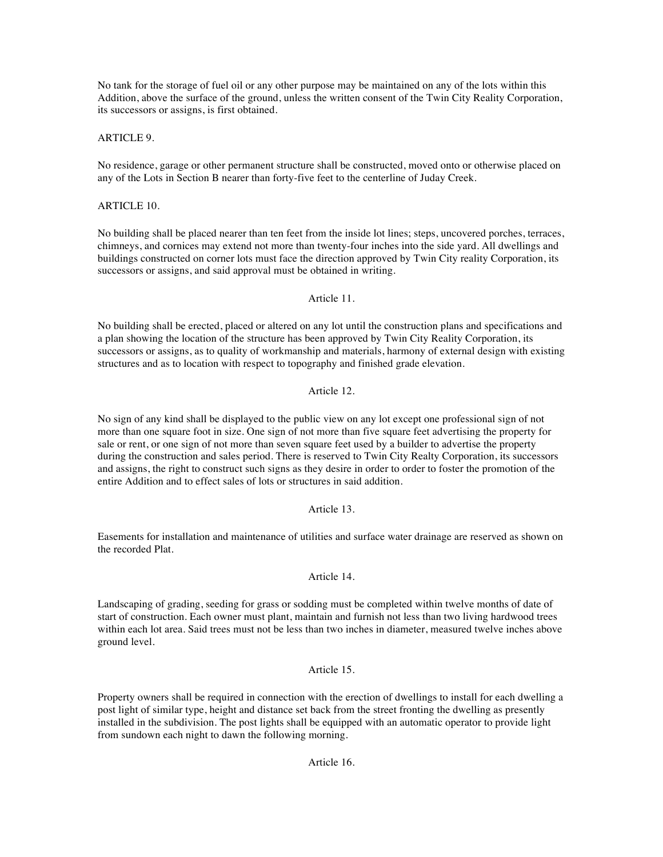No tank for the storage of fuel oil or any other purpose may be maintained on any of the lots within this Addition, above the surface of the ground, unless the written consent of the Twin City Reality Corporation, its successors or assigns, is first obtained.

# ARTICLE 9.

No residence, garage or other permanent structure shall be constructed, moved onto or otherwise placed on any of the Lots in Section B nearer than forty-five feet to the centerline of Juday Creek.

# ARTICLE 10.

No building shall be placed nearer than ten feet from the inside lot lines; steps, uncovered porches, terraces, chimneys, and cornices may extend not more than twenty-four inches into the side yard. All dwellings and buildings constructed on corner lots must face the direction approved by Twin City reality Corporation, its successors or assigns, and said approval must be obtained in writing.

# Article 11.

No building shall be erected, placed or altered on any lot until the construction plans and specifications and a plan showing the location of the structure has been approved by Twin City Reality Corporation, its successors or assigns, as to quality of workmanship and materials, harmony of external design with existing structures and as to location with respect to topography and finished grade elevation.

## Article 12.

No sign of any kind shall be displayed to the public view on any lot except one professional sign of not more than one square foot in size. One sign of not more than five square feet advertising the property for sale or rent, or one sign of not more than seven square feet used by a builder to advertise the property during the construction and sales period. There is reserved to Twin City Realty Corporation, its successors and assigns, the right to construct such signs as they desire in order to order to foster the promotion of the entire Addition and to effect sales of lots or structures in said addition.

## Article 13.

Easements for installation and maintenance of utilities and surface water drainage are reserved as shown on the recorded Plat.

# Article 14.

Landscaping of grading, seeding for grass or sodding must be completed within twelve months of date of start of construction. Each owner must plant, maintain and furnish not less than two living hardwood trees within each lot area. Said trees must not be less than two inches in diameter, measured twelve inches above ground level.

# Article 15.

Property owners shall be required in connection with the erection of dwellings to install for each dwelling a post light of similar type, height and distance set back from the street fronting the dwelling as presently installed in the subdivision. The post lights shall be equipped with an automatic operator to provide light from sundown each night to dawn the following morning.

# Article 16.